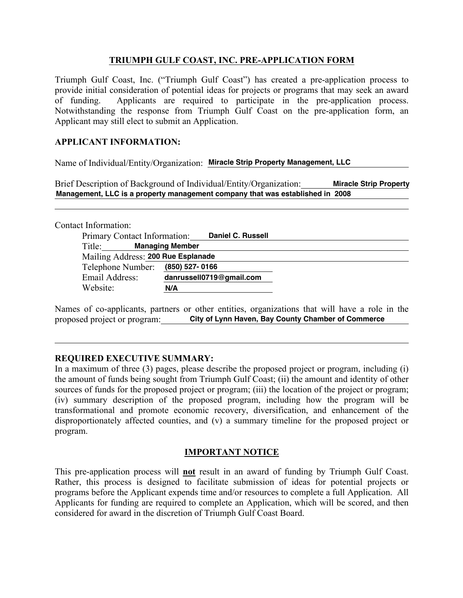## **TRIUMPH GULF COAST, INC. PRE-APPLICATION FORM**

Triumph Gulf Coast, Inc. ("Triumph Gulf Coast") has created a pre-application process to provide initial consideration of potential ideas for projects or programs that may seek an award of funding. Applicants are required to participate in the pre-application process. Notwithstanding the response from Triumph Gulf Coast on the pre-application form, an Applicant may still elect to submit an Application.

## **APPLICANT INFORMATION:**

Name of Individual/Entity/Organization: **Miracle Strip Property Management, LLC**

Brief Description of Background of Individual/Entity/Organization: **Miracle Strip Property Management, LLC is a property management company that was established in 2008**

Contact Information:

| Primary Contact Information:       | <b>Daniel C. Russell</b> |
|------------------------------------|--------------------------|
| Title:                             | <b>Managing Member</b>   |
| Mailing Address: 200 Rue Esplanade |                          |
| Telephone Number: (850) 527-0166   |                          |
| Email Address:                     | danrussell0719@gmail.com |
| Website:                           | N/A                      |

Names of co-applicants, partners or other entities, organizations that will have a role in the proposed project or program: **City of Lynn Haven, Bay County Chamber of Commerce**

#### **REQUIRED EXECUTIVE SUMMARY:**

In a maximum of three (3) pages, please describe the proposed project or program, including (i) the amount of funds being sought from Triumph Gulf Coast; (ii) the amount and identity of other sources of funds for the proposed project or program; (iii) the location of the project or program; (iv) summary description of the proposed program, including how the program will be transformational and promote economic recovery, diversification, and enhancement of the disproportionately affected counties, and (v) a summary timeline for the proposed project or program.

# **IMPORTANT NOTICE**

This pre-application process will **not** result in an award of funding by Triumph Gulf Coast. Rather, this process is designed to facilitate submission of ideas for potential projects or programs before the Applicant expends time and/or resources to complete a full Application. All Applicants for funding are required to complete an Application, which will be scored, and then considered for award in the discretion of Triumph Gulf Coast Board.